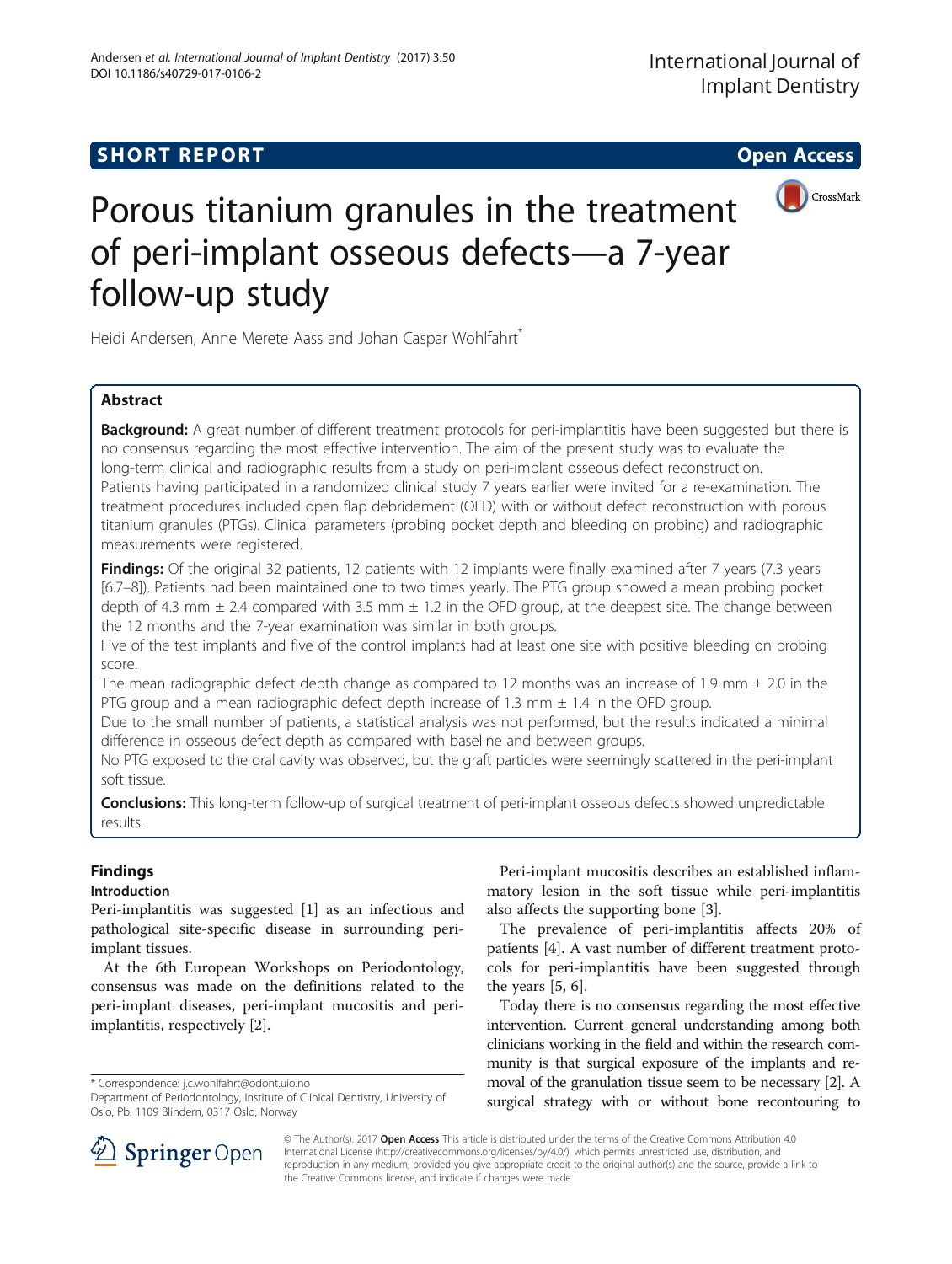# **SHORT REPORT SHORT CONSUMING THE OPEN ACCESS**





# Porous titanium granules in the treatment of peri-implant osseous defects—a 7-year follow-up study

Heidi Andersen, Anne Merete Aass and Johan Caspar Wohlfahrt<sup>\*</sup>

# Abstract

Background: A great number of different treatment protocols for peri-implantitis have been suggested but there is no consensus regarding the most effective intervention. The aim of the present study was to evaluate the long-term clinical and radiographic results from a study on peri-implant osseous defect reconstruction. Patients having participated in a randomized clinical study 7 years earlier were invited for a re-examination. The treatment procedures included open flap debridement (OFD) with or without defect reconstruction with porous titanium granules (PTGs). Clinical parameters (probing pocket depth and bleeding on probing) and radiographic measurements were registered.

Findings: Of the original 32 patients, 12 patients with 12 implants were finally examined after 7 years (7.3 years [6.7–8]). Patients had been maintained one to two times yearly. The PTG group showed a mean probing pocket depth of 4.3 mm  $\pm$  2.4 compared with 3.5 mm  $\pm$  1.2 in the OFD group, at the deepest site. The change between the 12 months and the 7-year examination was similar in both groups.

Five of the test implants and five of the control implants had at least one site with positive bleeding on probing score.

The mean radiographic defect depth change as compared to 12 months was an increase of 1.9 mm  $\pm$  2.0 in the PTG group and a mean radiographic defect depth increase of 1.3 mm  $\pm$  1.4 in the OFD group.

Due to the small number of patients, a statistical analysis was not performed, but the results indicated a minimal difference in osseous defect depth as compared with baseline and between groups.

No PTG exposed to the oral cavity was observed, but the graft particles were seemingly scattered in the peri-implant soft tissue.

**Conclusions:** This long-term follow-up of surgical treatment of peri-implant osseous defects showed unpredictable results.

# Findings

# Introduction

Peri-implantitis was suggested [\[1](#page-6-0)] as an infectious and pathological site-specific disease in surrounding periimplant tissues.

At the 6th European Workshops on Periodontology, consensus was made on the definitions related to the peri-implant diseases, peri-implant mucositis and periimplantitis, respectively [\[2](#page-6-0)].

\* Correspondence: [j.c.wohlfahrt@odont.uio.no](mailto:j.c.wohlfahrt@odont.uio.no)

Peri-implant mucositis describes an established inflammatory lesion in the soft tissue while peri-implantitis also affects the supporting bone [[3\]](#page-6-0).

The prevalence of peri-implantitis affects 20% of patients [\[4](#page-6-0)]. A vast number of different treatment protocols for peri-implantitis have been suggested through the years [\[5](#page-6-0), [6](#page-6-0)].

Today there is no consensus regarding the most effective intervention. Current general understanding among both clinicians working in the field and within the research community is that surgical exposure of the implants and removal of the granulation tissue seem to be necessary [\[2\]](#page-6-0). A surgical strategy with or without bone recontouring to



© The Author(s). 2017 **Open Access** This article is distributed under the terms of the Creative Commons Attribution 4.0 International License ([http://creativecommons.org/licenses/by/4.0/\)](http://creativecommons.org/licenses/by/4.0/), which permits unrestricted use, distribution, and reproduction in any medium, provided you give appropriate credit to the original author(s) and the source, provide a link to the Creative Commons license, and indicate if changes were made.

Department of Periodontology, Institute of Clinical Dentistry, University of Oslo, Pb. 1109 Blindern, 0317 Oslo, Norway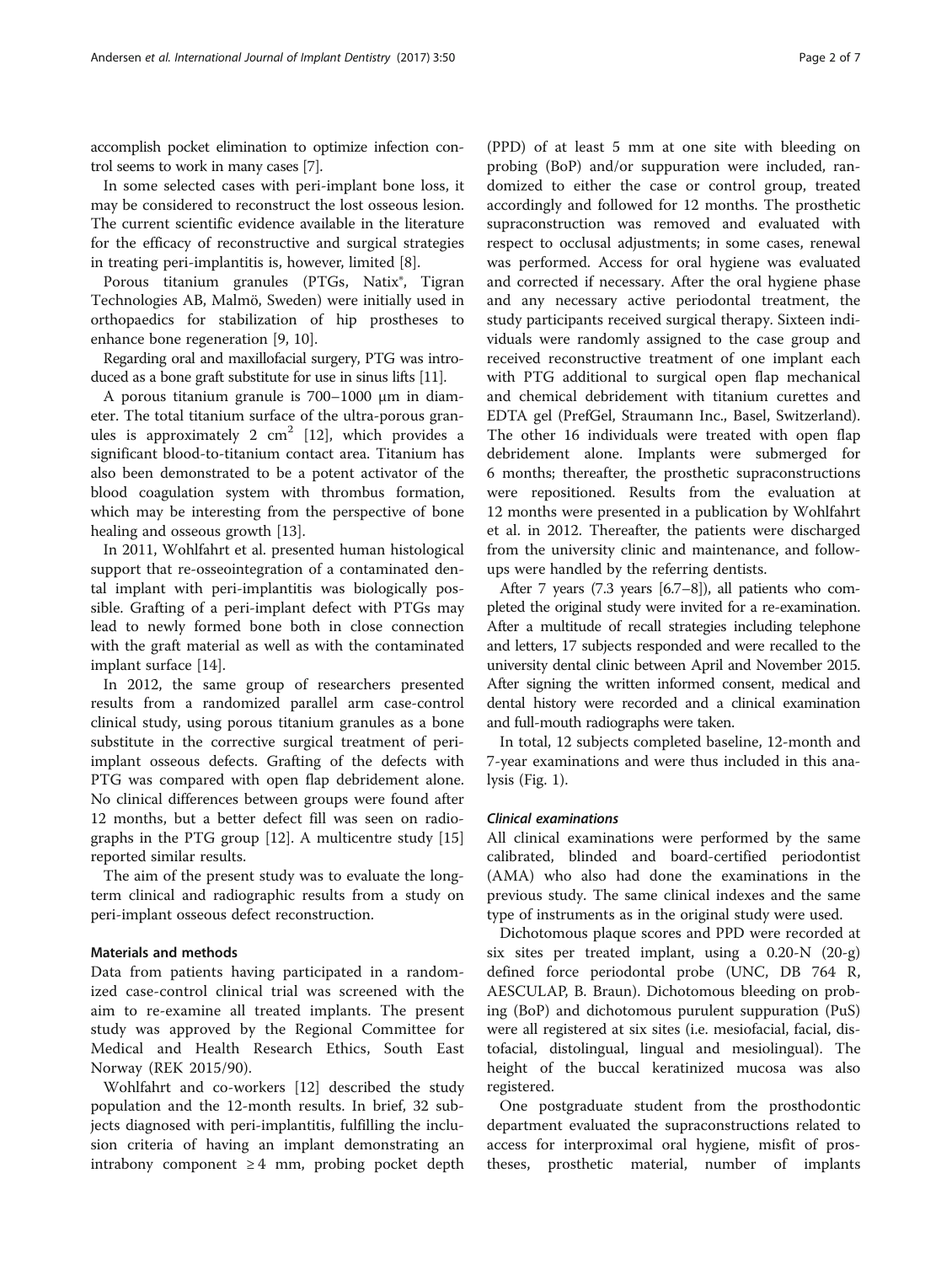accomplish pocket elimination to optimize infection control seems to work in many cases [\[7](#page-6-0)].

In some selected cases with peri-implant bone loss, it may be considered to reconstruct the lost osseous lesion. The current scientific evidence available in the literature for the efficacy of reconstructive and surgical strategies in treating peri-implantitis is, however, limited [\[8\]](#page-6-0).

Porous titanium granules (PTGs, Natix®, Tigran Technologies AB, Malmö, Sweden) were initially used in orthopaedics for stabilization of hip prostheses to enhance bone regeneration [[9, 10\]](#page-6-0).

Regarding oral and maxillofacial surgery, PTG was introduced as a bone graft substitute for use in sinus lifts [\[11\]](#page-6-0).

A porous titanium granule is 700–1000 μm in diameter. The total titanium surface of the ultra-porous granules is approximately 2  $\text{cm}^2$  [\[12\]](#page-6-0), which provides a significant blood-to-titanium contact area. Titanium has also been demonstrated to be a potent activator of the blood coagulation system with thrombus formation, which may be interesting from the perspective of bone healing and osseous growth [\[13\]](#page-6-0).

In 2011, Wohlfahrt et al. presented human histological support that re-osseointegration of a contaminated dental implant with peri-implantitis was biologically possible. Grafting of a peri-implant defect with PTGs may lead to newly formed bone both in close connection with the graft material as well as with the contaminated implant surface [\[14\]](#page-6-0).

In 2012, the same group of researchers presented results from a randomized parallel arm case-control clinical study, using porous titanium granules as a bone substitute in the corrective surgical treatment of periimplant osseous defects. Grafting of the defects with PTG was compared with open flap debridement alone. No clinical differences between groups were found after 12 months, but a better defect fill was seen on radiographs in the PTG group [[12\]](#page-6-0). A multicentre study [[15](#page-6-0)] reported similar results.

The aim of the present study was to evaluate the longterm clinical and radiographic results from a study on peri-implant osseous defect reconstruction.

# Materials and methods

Data from patients having participated in a randomized case-control clinical trial was screened with the aim to re-examine all treated implants. The present study was approved by the Regional Committee for Medical and Health Research Ethics, South East Norway (REK 2015/90).

Wohlfahrt and co-workers [\[12](#page-6-0)] described the study population and the 12-month results. In brief, 32 subjects diagnosed with peri-implantitis, fulfilling the inclusion criteria of having an implant demonstrating an intrabony component  $\geq 4$  mm, probing pocket depth

(PPD) of at least 5 mm at one site with bleeding on probing (BoP) and/or suppuration were included, randomized to either the case or control group, treated accordingly and followed for 12 months. The prosthetic supraconstruction was removed and evaluated with respect to occlusal adjustments; in some cases, renewal was performed. Access for oral hygiene was evaluated and corrected if necessary. After the oral hygiene phase and any necessary active periodontal treatment, the study participants received surgical therapy. Sixteen individuals were randomly assigned to the case group and received reconstructive treatment of one implant each with PTG additional to surgical open flap mechanical and chemical debridement with titanium curettes and EDTA gel (PrefGel, Straumann Inc., Basel, Switzerland). The other 16 individuals were treated with open flap debridement alone. Implants were submerged for 6 months; thereafter, the prosthetic supraconstructions were repositioned. Results from the evaluation at 12 months were presented in a publication by Wohlfahrt et al. in 2012. Thereafter, the patients were discharged from the university clinic and maintenance, and followups were handled by the referring dentists.

After 7 years (7.3 years [6.7–8]), all patients who completed the original study were invited for a re-examination. After a multitude of recall strategies including telephone and letters, 17 subjects responded and were recalled to the university dental clinic between April and November 2015. After signing the written informed consent, medical and dental history were recorded and a clinical examination and full-mouth radiographs were taken.

In total, 12 subjects completed baseline, 12-month and 7-year examinations and were thus included in this analysis (Fig. [1](#page-2-0)).

## Clinical examinations

All clinical examinations were performed by the same calibrated, blinded and board-certified periodontist (AMA) who also had done the examinations in the previous study. The same clinical indexes and the same type of instruments as in the original study were used.

Dichotomous plaque scores and PPD were recorded at six sites per treated implant, using a 0.20-N (20-g) defined force periodontal probe (UNC, DB 764 R, AESCULAP, B. Braun). Dichotomous bleeding on probing (BoP) and dichotomous purulent suppuration (PuS) were all registered at six sites (i.e. mesiofacial, facial, distofacial, distolingual, lingual and mesiolingual). The height of the buccal keratinized mucosa was also registered.

One postgraduate student from the prosthodontic department evaluated the supraconstructions related to access for interproximal oral hygiene, misfit of prostheses, prosthetic material, number of implants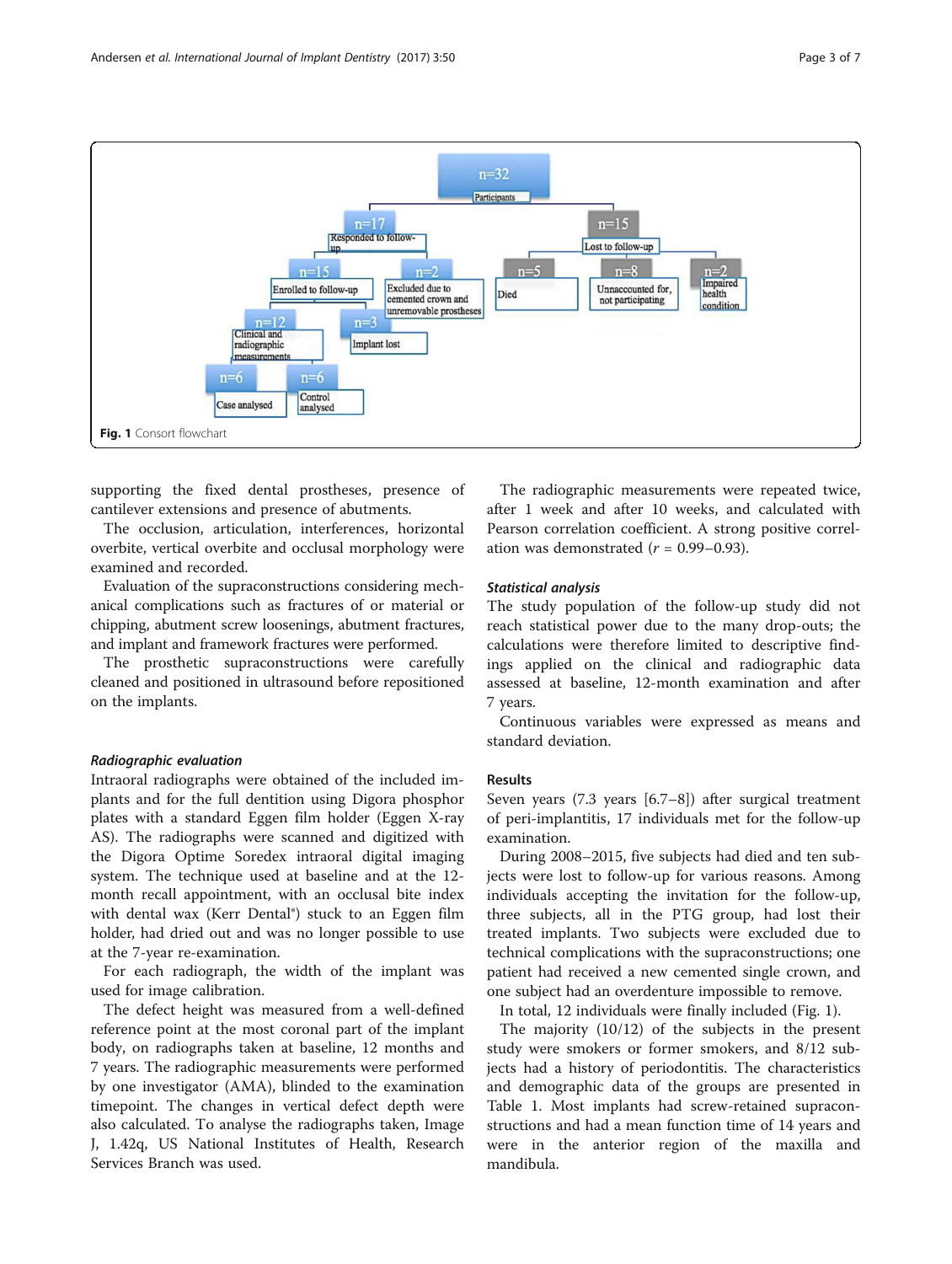<span id="page-2-0"></span>

supporting the fixed dental prostheses, presence of cantilever extensions and presence of abutments.

The occlusion, articulation, interferences, horizontal overbite, vertical overbite and occlusal morphology were examined and recorded.

Evaluation of the supraconstructions considering mechanical complications such as fractures of or material or chipping, abutment screw loosenings, abutment fractures, and implant and framework fractures were performed.

The prosthetic supraconstructions were carefully cleaned and positioned in ultrasound before repositioned on the implants.

#### Radiographic evaluation

Intraoral radiographs were obtained of the included implants and for the full dentition using Digora phosphor plates with a standard Eggen film holder (Eggen X-ray AS). The radiographs were scanned and digitized with the Digora Optime Soredex intraoral digital imaging system. The technique used at baseline and at the 12 month recall appointment, with an occlusal bite index with dental wax (Kerr Dental®) stuck to an Eggen film holder, had dried out and was no longer possible to use at the 7-year re-examination.

For each radiograph, the width of the implant was used for image calibration.

The defect height was measured from a well-defined reference point at the most coronal part of the implant body, on radiographs taken at baseline, 12 months and 7 years. The radiographic measurements were performed by one investigator (AMA), blinded to the examination timepoint. The changes in vertical defect depth were also calculated. To analyse the radiographs taken, Image J, 1.42q, US National Institutes of Health, Research Services Branch was used.

The radiographic measurements were repeated twice, after 1 week and after 10 weeks, and calculated with Pearson correlation coefficient. A strong positive correlation was demonstrated ( $r = 0.99 - 0.93$ ).

#### Statistical analysis

The study population of the follow-up study did not reach statistical power due to the many drop-outs; the calculations were therefore limited to descriptive findings applied on the clinical and radiographic data assessed at baseline, 12-month examination and after 7 years.

Continuous variables were expressed as means and standard deviation.

#### Results

Seven years (7.3 years [6.7–8]) after surgical treatment of peri-implantitis, 17 individuals met for the follow-up examination.

During 2008–2015, five subjects had died and ten subjects were lost to follow-up for various reasons. Among individuals accepting the invitation for the follow-up, three subjects, all in the PTG group, had lost their treated implants. Two subjects were excluded due to technical complications with the supraconstructions; one patient had received a new cemented single crown, and one subject had an overdenture impossible to remove.

In total, 12 individuals were finally included (Fig. 1).

The majority (10/12) of the subjects in the present study were smokers or former smokers, and 8/12 subjects had a history of periodontitis. The characteristics and demographic data of the groups are presented in Table [1](#page-3-0). Most implants had screw-retained supraconstructions and had a mean function time of 14 years and were in the anterior region of the maxilla and mandibula.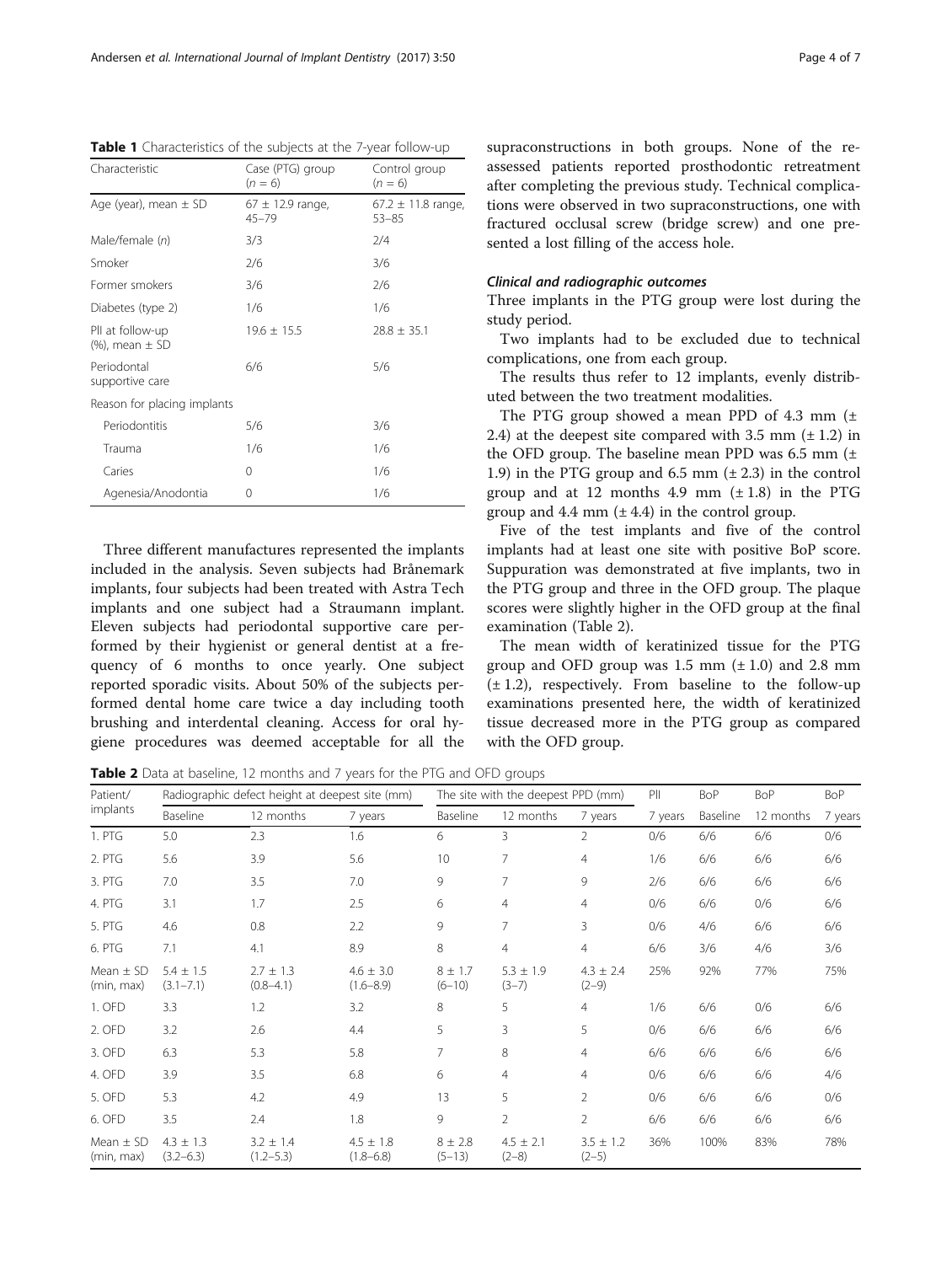| Characteristic                          | Case (PTG) group<br>$(n = 6)$     | Control group<br>$(n = 6)$         |
|-----------------------------------------|-----------------------------------|------------------------------------|
| Age (year), mean $\pm$ SD               | $67 \pm 12.9$ range,<br>$45 - 79$ | $67.2 \pm 11.8$ range<br>$53 - 85$ |
| Male/female (n)                         | 3/3                               | 2/4                                |
| Smoker                                  | 2/6                               | 3/6                                |
| Former smokers                          | 3/6                               | 2/6                                |
| Diabetes (type 2)                       | 1/6                               | 1/6                                |
| Pll at follow-up<br>$%$ , mean $\pm$ SD | $19.6 \pm 15.5$                   | $28.8 \pm 35.1$                    |
| Periodontal<br>supportive care          | 6/6                               | 5/6                                |
| Reason for placing implants             |                                   |                                    |
| Periodontitis                           | 5/6                               | 3/6                                |
| Trauma                                  | 1/6                               | 1/6                                |
| Caries                                  | 0                                 | 1/6                                |
| Agenesia/Anodontia                      | 0                                 | 1/6                                |

<span id="page-3-0"></span>Table 1 Characteristics of the subjects at the 7-year follow-up

Three different manufactures represented the implants included in the analysis. Seven subjects had Brånemark implants, four subjects had been treated with Astra Tech implants and one subject had a Straumann implant. Eleven subjects had periodontal supportive care performed by their hygienist or general dentist at a frequency of 6 months to once yearly. One subject reported sporadic visits. About 50% of the subjects performed dental home care twice a day including tooth brushing and interdental cleaning. Access for oral hygiene procedures was deemed acceptable for all the

supraconstructions in both groups. None of the reassessed patients reported prosthodontic retreatment after completing the previous study. Technical complications were observed in two supraconstructions, one with fractured occlusal screw (bridge screw) and one presented a lost filling of the access hole.

### Clinical and radiographic outcomes

Three implants in the PTG group were lost during the study period.

Two implants had to be excluded due to technical complications, one from each group.

The results thus refer to 12 implants, evenly distributed between the two treatment modalities.

The PTG group showed a mean PPD of 4.3 mm (± 2.4) at the deepest site compared with 3.5 mm  $(\pm 1.2)$  in the OFD group. The baseline mean PPD was  $6.5$  mm  $(±)$ 1.9) in the PTG group and 6.5 mm  $(\pm 2.3)$  in the control group and at 12 months 4.9 mm  $(\pm 1.8)$  in the PTG group and 4.4 mm  $(\pm 4.4)$  in the control group.

Five of the test implants and five of the control implants had at least one site with positive BoP score. Suppuration was demonstrated at five implants, two in the PTG group and three in the OFD group. The plaque scores were slightly higher in the OFD group at the final examination (Table 2).

The mean width of keratinized tissue for the PTG group and OFD group was  $1.5$  mm  $(\pm 1.0)$  and  $2.8$  mm  $(\pm 1.2)$ , respectively. From baseline to the follow-up examinations presented here, the width of keratinized tissue decreased more in the PTG group as compared with the OFD group.

Table 2 Data at baseline, 12 months and 7 years for the PTG and OFD groups

| Patient/<br>implants        | Radiographic defect height at deepest site (mm) |                                |                                | The site with the deepest PPD (mm) |                          |                          | P       | <b>BoP</b> | <b>BoP</b> | BoP     |
|-----------------------------|-------------------------------------------------|--------------------------------|--------------------------------|------------------------------------|--------------------------|--------------------------|---------|------------|------------|---------|
|                             | Baseline                                        | 12 months                      | 7 years                        | Baseline                           | 12 months                | 7 years                  | 7 years | Baseline   | 12 months  | 7 years |
| 1. PTG                      | 5.0                                             | 2.3                            | 1.6                            | 6                                  | 3                        | $\overline{2}$           | 0/6     | 6/6        | 6/6        | 0/6     |
| 2. PTG                      | 5.6                                             | 3.9                            | 5.6                            | 10                                 | 7                        | $\overline{4}$           | 1/6     | 6/6        | 6/6        | 6/6     |
| 3. PTG                      | 7.0                                             | 3.5                            | 7.0                            | 9                                  | 7                        | 9                        | 2/6     | 6/6        | 6/6        | 6/6     |
| 4. PTG                      | 3.1                                             | 1.7                            | 2.5                            | 6                                  | $\overline{4}$           | 4                        | 0/6     | 6/6        | 0/6        | 6/6     |
| 5. PTG                      | 4.6                                             | 0.8                            | 2.2                            | 9                                  | $\overline{7}$           | 3                        | 0/6     | 4/6        | 6/6        | 6/6     |
| 6. PTG                      | 7.1                                             | 4.1                            | 8.9                            | 8                                  | $\overline{4}$           | $\overline{4}$           | 6/6     | 3/6        | 4/6        | 3/6     |
| Mean $\pm$ SD<br>(min, max) | $5.4 \pm 1.5$<br>$(3.1 - 7.1)$                  | $2.7 \pm 1.3$<br>$(0.8 - 4.1)$ | $4.6 \pm 3.0$<br>$(1.6 - 8.9)$ | $8 \pm 1.7$<br>$(6 - 10)$          | $5.3 \pm 1.9$<br>$(3-7)$ | $4.3 \pm 2.4$<br>$(2-9)$ | 25%     | 92%        | 77%        | 75%     |
| 1. OFD                      | 3.3                                             | 1.2                            | 3.2                            | 8                                  | 5                        | $\overline{4}$           | 1/6     | 6/6        | 0/6        | 6/6     |
| 2. OFD                      | 3.2                                             | 2.6                            | 4.4                            | 5                                  | 3                        | 5                        | 0/6     | 6/6        | 6/6        | 6/6     |
| 3. OFD                      | 6.3                                             | 5.3                            | 5.8                            | 7                                  | 8                        | $\overline{4}$           | 6/6     | 6/6        | 6/6        | 6/6     |
| 4. OFD                      | 3.9                                             | 3.5                            | 6.8                            | 6                                  | $\overline{4}$           | $\overline{4}$           | 0/6     | 6/6        | 6/6        | 4/6     |
| 5. OFD                      | 5.3                                             | 4.2                            | 4.9                            | 13                                 | 5                        | $\overline{2}$           | 0/6     | 6/6        | 6/6        | 0/6     |
| 6. OFD                      | 3.5                                             | 2.4                            | 1.8                            | 9                                  | $\overline{2}$           | $\overline{2}$           | 6/6     | 6/6        | 6/6        | 6/6     |
| Mean $\pm$ SD<br>(min, max) | $4.3 \pm 1.3$<br>$(3.2 - 6.3)$                  | $3.2 \pm 1.4$<br>$(1.2 - 5.3)$ | $4.5 \pm 1.8$<br>$(1.8 - 6.8)$ | $8 \pm 2.8$<br>$(5-13)$            | $4.5 \pm 2.1$<br>$(2-8)$ | $3.5 \pm 1.2$<br>$(2-5)$ | 36%     | 100%       | 83%        | 78%     |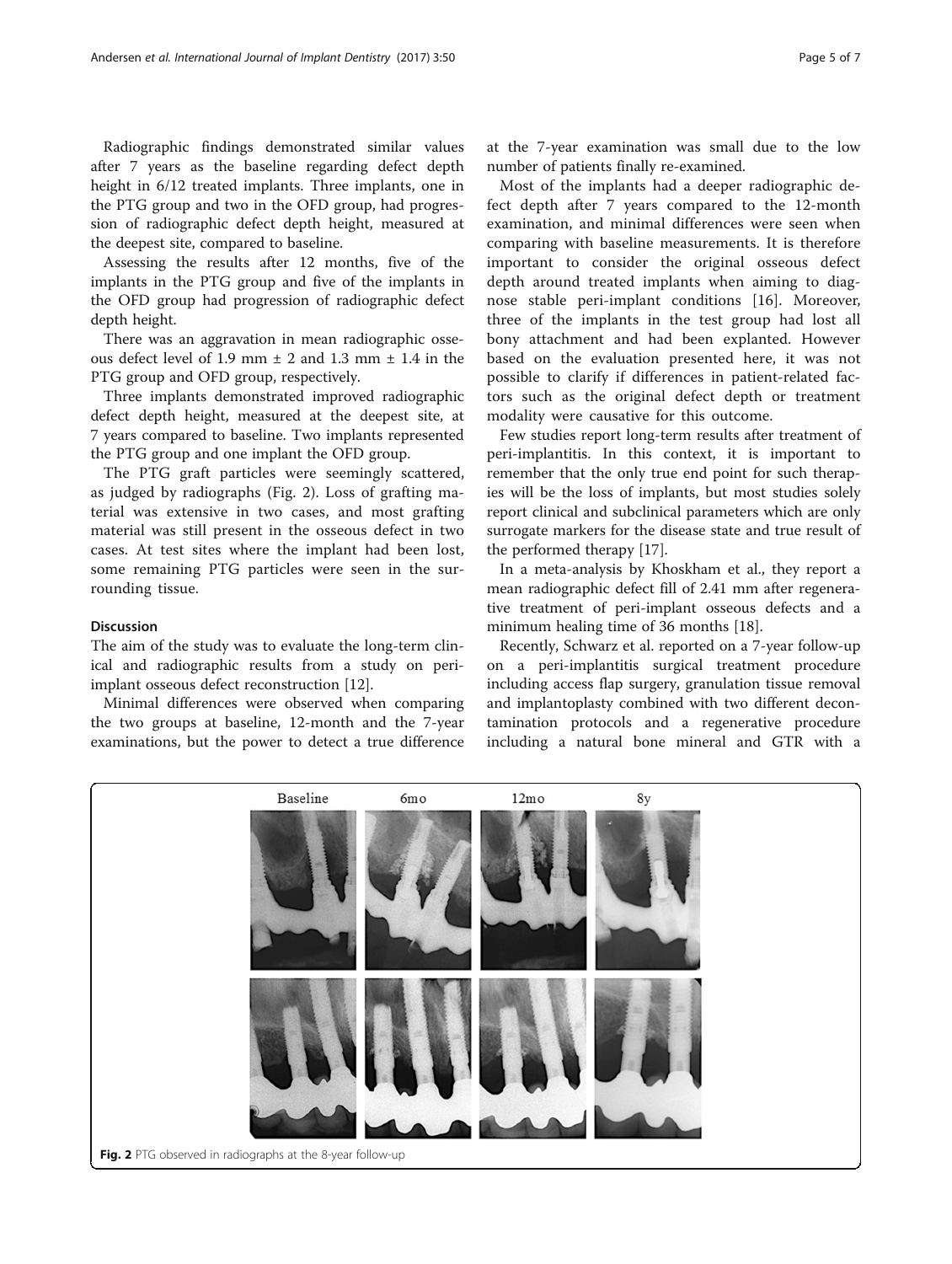Radiographic findings demonstrated similar values after 7 years as the baseline regarding defect depth height in 6/12 treated implants. Three implants, one in the PTG group and two in the OFD group, had progression of radiographic defect depth height, measured at the deepest site, compared to baseline.

Assessing the results after 12 months, five of the implants in the PTG group and five of the implants in the OFD group had progression of radiographic defect depth height.

There was an aggravation in mean radiographic osseous defect level of 1.9 mm  $\pm$  2 and 1.3 mm  $\pm$  1.4 in the PTG group and OFD group, respectively.

Three implants demonstrated improved radiographic defect depth height, measured at the deepest site, at 7 years compared to baseline. Two implants represented the PTG group and one implant the OFD group.

The PTG graft particles were seemingly scattered, as judged by radiographs (Fig. 2). Loss of grafting material was extensive in two cases, and most grafting material was still present in the osseous defect in two cases. At test sites where the implant had been lost, some remaining PTG particles were seen in the surrounding tissue.

## Discussion

The aim of the study was to evaluate the long-term clinical and radiographic results from a study on periimplant osseous defect reconstruction [[12](#page-6-0)].

Minimal differences were observed when comparing the two groups at baseline, 12-month and the 7-year examinations, but the power to detect a true difference at the 7-year examination was small due to the low number of patients finally re-examined.

Most of the implants had a deeper radiographic defect depth after 7 years compared to the 12-month examination, and minimal differences were seen when comparing with baseline measurements. It is therefore important to consider the original osseous defect depth around treated implants when aiming to diagnose stable peri-implant conditions [[16](#page-6-0)]. Moreover, three of the implants in the test group had lost all bony attachment and had been explanted. However based on the evaluation presented here, it was not possible to clarify if differences in patient-related factors such as the original defect depth or treatment modality were causative for this outcome.

Few studies report long-term results after treatment of peri-implantitis. In this context, it is important to remember that the only true end point for such therapies will be the loss of implants, but most studies solely report clinical and subclinical parameters which are only surrogate markers for the disease state and true result of the performed therapy [[17\]](#page-6-0).

In a meta-analysis by Khoskham et al., they report a mean radiographic defect fill of 2.41 mm after regenerative treatment of peri-implant osseous defects and a minimum healing time of 36 months [\[18](#page-6-0)].

Recently, Schwarz et al. reported on a 7-year follow-up on a peri-implantitis surgical treatment procedure including access flap surgery, granulation tissue removal and implantoplasty combined with two different decontamination protocols and a regenerative procedure including a natural bone mineral and GTR with a

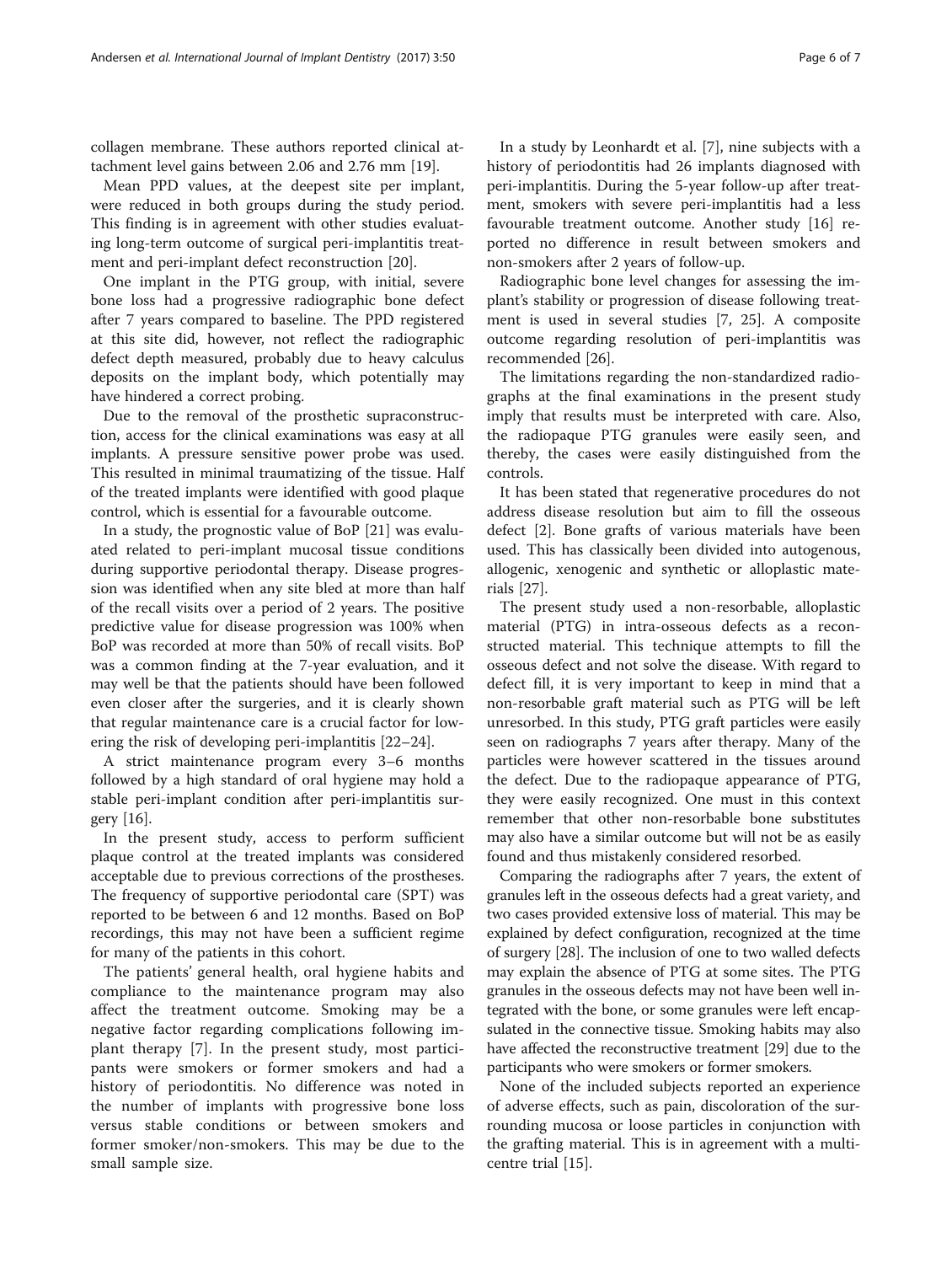collagen membrane. These authors reported clinical attachment level gains between 2.06 and 2.76 mm [\[19\]](#page-6-0).

Mean PPD values, at the deepest site per implant, were reduced in both groups during the study period. This finding is in agreement with other studies evaluating long-term outcome of surgical peri-implantitis treatment and peri-implant defect reconstruction [[20\]](#page-6-0).

One implant in the PTG group, with initial, severe bone loss had a progressive radiographic bone defect after 7 years compared to baseline. The PPD registered at this site did, however, not reflect the radiographic defect depth measured, probably due to heavy calculus deposits on the implant body, which potentially may have hindered a correct probing.

Due to the removal of the prosthetic supraconstruction, access for the clinical examinations was easy at all implants. A pressure sensitive power probe was used. This resulted in minimal traumatizing of the tissue. Half of the treated implants were identified with good plaque control, which is essential for a favourable outcome.

In a study, the prognostic value of BoP [\[21](#page-6-0)] was evaluated related to peri-implant mucosal tissue conditions during supportive periodontal therapy. Disease progression was identified when any site bled at more than half of the recall visits over a period of 2 years. The positive predictive value for disease progression was 100% when BoP was recorded at more than 50% of recall visits. BoP was a common finding at the 7-year evaluation, and it may well be that the patients should have been followed even closer after the surgeries, and it is clearly shown that regular maintenance care is a crucial factor for lowering the risk of developing peri-implantitis [\[22](#page-6-0)–[24\]](#page-6-0).

A strict maintenance program every 3–6 months followed by a high standard of oral hygiene may hold a stable peri-implant condition after peri-implantitis surgery [[16\]](#page-6-0).

In the present study, access to perform sufficient plaque control at the treated implants was considered acceptable due to previous corrections of the prostheses. The frequency of supportive periodontal care (SPT) was reported to be between 6 and 12 months. Based on BoP recordings, this may not have been a sufficient regime for many of the patients in this cohort.

The patients' general health, oral hygiene habits and compliance to the maintenance program may also affect the treatment outcome. Smoking may be a negative factor regarding complications following implant therapy [\[7](#page-6-0)]. In the present study, most participants were smokers or former smokers and had a history of periodontitis. No difference was noted in the number of implants with progressive bone loss versus stable conditions or between smokers and former smoker/non-smokers. This may be due to the small sample size.

In a study by Leonhardt et al. [\[7](#page-6-0)], nine subjects with a history of periodontitis had 26 implants diagnosed with peri-implantitis. During the 5-year follow-up after treatment, smokers with severe peri-implantitis had a less favourable treatment outcome. Another study [[16\]](#page-6-0) reported no difference in result between smokers and non-smokers after 2 years of follow-up.

Radiographic bone level changes for assessing the implant's stability or progression of disease following treatment is used in several studies [\[7, 25](#page-6-0)]. A composite outcome regarding resolution of peri-implantitis was recommended [[26](#page-6-0)].

The limitations regarding the non-standardized radiographs at the final examinations in the present study imply that results must be interpreted with care. Also, the radiopaque PTG granules were easily seen, and thereby, the cases were easily distinguished from the controls.

It has been stated that regenerative procedures do not address disease resolution but aim to fill the osseous defect [\[2](#page-6-0)]. Bone grafts of various materials have been used. This has classically been divided into autogenous, allogenic, xenogenic and synthetic or alloplastic materials [[27\]](#page-6-0).

The present study used a non-resorbable, alloplastic material (PTG) in intra-osseous defects as a reconstructed material. This technique attempts to fill the osseous defect and not solve the disease. With regard to defect fill, it is very important to keep in mind that a non-resorbable graft material such as PTG will be left unresorbed. In this study, PTG graft particles were easily seen on radiographs 7 years after therapy. Many of the particles were however scattered in the tissues around the defect. Due to the radiopaque appearance of PTG, they were easily recognized. One must in this context remember that other non-resorbable bone substitutes may also have a similar outcome but will not be as easily found and thus mistakenly considered resorbed.

Comparing the radiographs after 7 years, the extent of granules left in the osseous defects had a great variety, and two cases provided extensive loss of material. This may be explained by defect configuration, recognized at the time of surgery [[28](#page-6-0)]. The inclusion of one to two walled defects may explain the absence of PTG at some sites. The PTG granules in the osseous defects may not have been well integrated with the bone, or some granules were left encapsulated in the connective tissue. Smoking habits may also have affected the reconstructive treatment [\[29\]](#page-6-0) due to the participants who were smokers or former smokers.

None of the included subjects reported an experience of adverse effects, such as pain, discoloration of the surrounding mucosa or loose particles in conjunction with the grafting material. This is in agreement with a multicentre trial [[15](#page-6-0)].